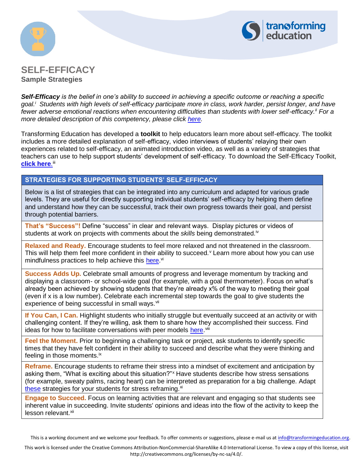



# **SELF-EFFICACY Sample Strategies**

*Self-Efficacy is the belief in one's ability to succeed in achieving a specific outcome or reaching a specific goal.<sup>i</sup> Students with high levels of self-efficacy participate more in class, work harder, persist longer, and have fewer adverse emotional reactions when encountering difficulties than students with lower self-efficacy.ii For a more detailed description of this competency, please click [here.](https://www.transformingeducation.org/wp-content/uploads/2018/02/Introduction_to_Self_Efficacy_Handout_2017.pdf)*

Transforming Education has developed a **toolkit** to help educators learn more about self-efficacy. The toolkit includes a more detailed explanation of self-efficacy, video interviews of students' relaying their own experiences related to self-efficacy, an animated introduction video, as well as a variety of strategies that teachers can use to help support students' development of self-efficacy. To download the Self-Efficacy Toolkit, **<u>[click here](https://www.transformingeducation.org/self-efficacy-toolkit/).</u>""** 

## **STRATEGIES FOR SUPPORTING STUDENTS' SELF-EFFICACY**

Below is a list of strategies that can be integrated into any curriculum and adapted for various grade levels. They are useful for directly supporting individual students' self-efficacy by helping them define and understand how they can be successful, track their own progress towards their goal, and persist through potential barriers.

**That's "Success"!** Define "success" in clear and relevant ways. Display pictures or videos of students at work on projects with comments about the *skills* being demonstrated.<sup>iv</sup>

**Relaxed and Ready.** Encourage students to feel more relaxed and not threatened in the classroom. This will help them feel more confident in their ability to succeed.  $\theta$  Learn more about how you can use mindfulness practices to help achieve this [here.](https://www.transformingeducation.org/mindfulness-toolkit/)<sup>vi</sup>

**Success Adds Up.** Celebrate small amounts of progress and leverage momentum by tracking and displaying a classroom- or school-wide goal (for example, with a goal thermometer). Focus on what's already been achieved by showing students that they're already x% of the way to meeting their goal (even if x is a low number). Celebrate each incremental step towards the goal to give students the experience of being successful in small ways.<sup>vii</sup>

**If You Can, I Can.** Highlight students who initially struggle but eventually succeed at an activity or with challenging content. If they're willing, ask them to share how they accomplished their success. Find ideas for how to facilitate conversations with peer models [here.](https://nrcgt.uconn.edu/underachievement_study/self-efficacy/se_section10/) viii

**Feel the Moment.** Prior to beginning a challenging task or project, ask students to identify specific times that they have felt confident in their ability to succeed and describe what they were thinking and feeling in those moments.<sup>ix</sup>

**Reframe.** Encourage students to reframe their stress into a mindset of excitement and anticipation by asking them, "What is exciting about this situation?" Have students describe how stress sensations (for example, sweaty palms, racing heart) can be interpreted as preparation for a big challenge. Adapt [these](https://www.realsimple.com/health/mind-mood/stress/the-upside-of-stress) strategies for your students for stress reframing. $x_i$ 

**Engage to Succeed.** Focus on learning activities that are relevant and engaging so that students see inherent value in succeeding. Invite students' opinions and ideas into the flow of the activity to keep the lesson relevant.<sup>xii</sup>

This is a working document and we welcome your feedback. To offer comments or suggestions, please e-mail us at [info@transformingeducation.org.](mailto:info@transformingeducation.org)

This work is licensed under the Creative Commons Attribution-NonCommercial-ShareAlike 4.0 International License. To view a copy of this license, visit http://creativecommons.org/licenses/by-nc-sa/4.0/.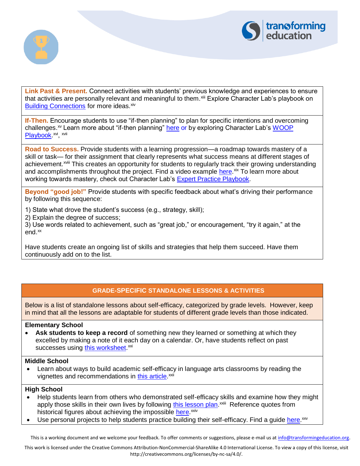



Link Past & Present. Connect activities with students' previous knowledge and experiences to ensure that activities are personally relevant and meaningful to them. Xili Explore Character Lab's playbook on [Building Connections](https://www.characterlab.org/build-connections) for more ideas. **xiv** 

**If-Then.** Encourage students to use "if-then planning" to plan for specific intentions and overcoming challenges.<sup>xv</sup> Learn more about "if-then planning" [here](https://www.edutopia.org/blog/traits-successful-if-then-heidi-grant-halvorson) or by exploring Character Lab's WOOP [Playbook.](https://www.characterlab.org/woop)<sup>xvi</sup>, <sup>xvii</sup>

**Road to Success.** Provide students with a learning progression—a roadmap towards mastery of a skill or task— for their assignment that clearly represents what success means at different stages of achievement.<sup>xviii</sup> This creates an opportunity for students to regularly track their growing understanding and accomplishments throughout the project. Find a video example [here.](https://vimeo.com/55951743)<sup>xix</sup> To learn more about working towards mastery, check out Character Lab's [Expert Practice Playbook.](https://www.characterlab.org/expert-practice)

**Beyond "good job!"** Provide students with specific feedback about what's driving their performance by following this sequence:

1) State what drove the student's success (e.g., strategy, skill);

2) Explain the degree of success;

3) Use words related to achievement, such as "great job," or encouragement, "try it again," at the end.<sup>xx</sup>

Have students create an ongoing list of skills and strategies that help them succeed. Have them continuously add on to the list.

## **GRADE-SPECIFIC STANDALONE LESSONS & ACTIVITIES**

Below is a list of standalone lessons about self-efficacy, categorized by grade levels. However, keep in mind that all the lessons are adaptable for students of different grade levels than those indicated.

## **Elementary School**

• **Ask students to keep a record** of something new they learned or something at which they excelled by making a note of it each day on a calendar. Or, have students reflect on past successes using **this worksheet**.<sup>xxi</sup>

#### **Middle School**

• Learn about ways to build academic self-efficacy in language arts classrooms by reading the vignettes and recommendations in **this article**.<sup>xxii</sup>

## **High School**

- Help students learn from others who demonstrated self-efficacy skills and examine how they might apply those skills in their own lives by following [this lesson plan.](https://achieve.lausd.net/cms/lib/CA01000043/Centricity/domain/625/pdfs/self-efficacy/lesson%20plans_teachers/Anything%20is%20possible.pdf)<sup>xxiii</sup> Reference quotes from historical figures about achieving the impossible [here.](http://www.uky.edu/~eushe2/Pajares/impossibleG.html)<sup>xxiv</sup>
- Use personal projects to help students practice building their self-efficacy. Find a guide [here.](http://www.ascd.org/publications/educational_leadership/may12/vol69/num08/Teaching_Self-Efficacy_with_Personal_Projects.aspx)<sup>xxv</sup>

This is a working document and we welcome your feedback. To offer comments or suggestions, please e-mail us at [info@transformingeducation.org.](mailto:info@transformingeducation.org)

This work is licensed under the Creative Commons Attribution-NonCommercial-ShareAlike 4.0 International License. To view a copy of this license, visit http://creativecommons.org/licenses/by-nc-sa/4.0/.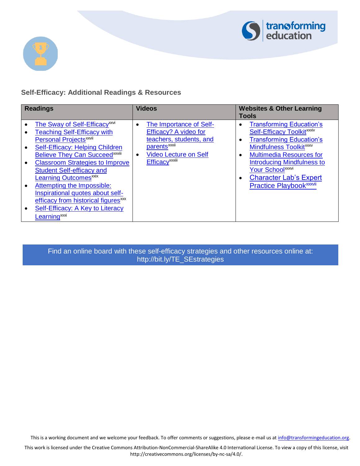



# **Self-Efficacy: Additional Readings & Resources**

| <b>Readings</b> |                                                                                                                                                                                                                                                                                                                                                                                                                                                                                              | <b>Videos</b>                                                                                                                                                                                          | <b>Websites &amp; Other Learning</b><br><b>Tools</b>                                                                                                                                                                                                                                                                                |
|-----------------|----------------------------------------------------------------------------------------------------------------------------------------------------------------------------------------------------------------------------------------------------------------------------------------------------------------------------------------------------------------------------------------------------------------------------------------------------------------------------------------------|--------------------------------------------------------------------------------------------------------------------------------------------------------------------------------------------------------|-------------------------------------------------------------------------------------------------------------------------------------------------------------------------------------------------------------------------------------------------------------------------------------------------------------------------------------|
|                 | <b>The Sway of Self-Efficacy</b> <sup>xxvi</sup><br><b>Teaching Self-Efficacy with</b><br><b>Personal Projects<sup>xxvii</sup></b><br>Self-Efficacy: Helping Children<br><b>Believe They Can Succeedxxviii</b><br><b>Classroom Strategies to Improve</b><br><b>Student Self-efficacy and</b><br><b>Learning Outcomesxxix</b><br>Attempting the Impossible:<br>Inspirational quotes about self-<br>efficacy from historical figures <sup>xxx</sup><br><b>Self-Efficacy: A Key to Literacy</b> | The Importance of Self-<br>$\bullet$<br>Efficacy? A video for<br>teachers, students, and<br>parents <sup>xxxii</sup><br><b>Video Lecture on Self</b><br>$\bullet$<br><b>Efficacy</b> <sup>xxxiii</sup> | <b>Transforming Education's</b><br>Self-Efficacy Toolkit <sup>xxxiv</sup><br><b>Transforming Education's</b><br>Mindfulness Toolkit <sup>xxxv</sup><br><b>Multimedia Resources for</b><br><b>Introducing Mindfulness to</b><br>Your School <sup>xxxvi</sup><br><b>Character Lab's Expert</b><br>Practice Playbook <sup>xxxvii</sup> |
|                 | Learning <sup>xxxi</sup>                                                                                                                                                                                                                                                                                                                                                                                                                                                                     |                                                                                                                                                                                                        |                                                                                                                                                                                                                                                                                                                                     |

Find an online board with these self-efficacy [strategies and other resources online at:](http://bit.ly/TE_SEstrategies)  http://bit.ly/TE\_SEstrategies

This is a working document and we welcome your feedback. To offer comments or suggestions, please e-mail us at [info@transformingeducation.org.](mailto:info@transformingeducation.org)